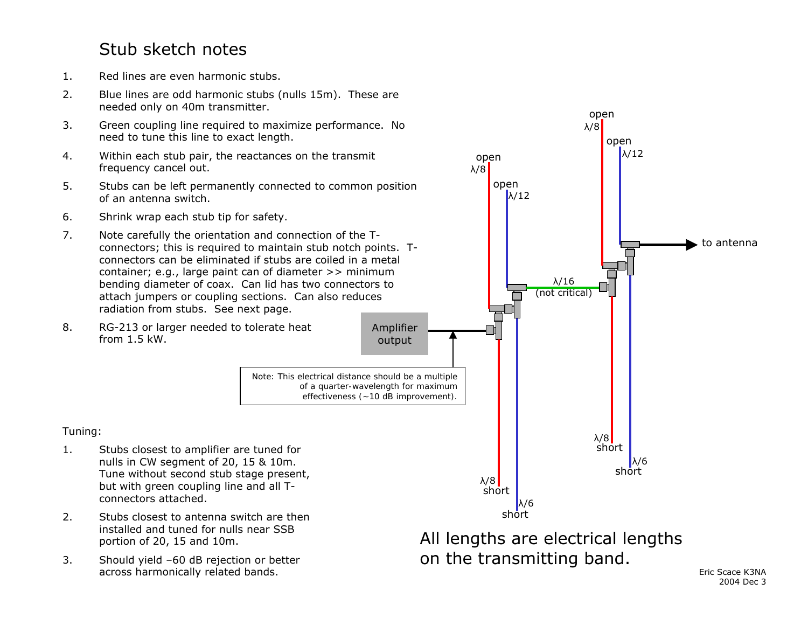### Stub sketch notes

- 1.Red lines are even harmonic stubs.
- 2. Blue lines are odd harmonic stubs (nulls 15m). These are needed only on 40m transmitter.
- 3. Green coupling line required to maximize performance. No need to tune this line to exact length.
- 4. Within each stub pair, the reactances on the transmit frequency cancel out.
- 5. Stubs can be left permanently connected to common position of an antenna switch.
- 6.Shrink wrap each stub tip for safety.
- 7. Note carefully the orientation and connection of the Tconnectors; this is required to maintain stub notch points. Tconnectors can be eliminated if stubs are coiled in a metal container; e.g., large paint can of diameter >> minimum bending diameter of coax. Can lid has two connectors to attach jumpers or coupling sections. Can also reduces radiation from stubs. See next page.



*Note: This electrical distance should be a multiple of a quarter-wavelength for maximum effectiveness (~10 dB improvement).*

#### Tuning:

- 1. Stubs closest to amplifier are tuned for nulls in CW segment of 20, 15 & 10m. Tune without second stub stage present, but with green coupling line and all Tconnectors attached.
- 2. Stubs closest to antenna switch are then installed and tuned for nulls near SSB portion of 20, 15 and 10m.
- 3. Should yield –60 dB rejection or better across harmonically related bands. The state of the state of the state of the state K3NA across harmonically related bands.
- Amplifier output shortopen short short shortλ/16 (not critical) λ/6 λ/8  $\lambda$ /12 λ/6 λ/8 to antennaAll lengths are electrical lengths on the transmitting band.

open

λ/8

open

 $\lambda$ /12

open

λ/8

2004 Dec 3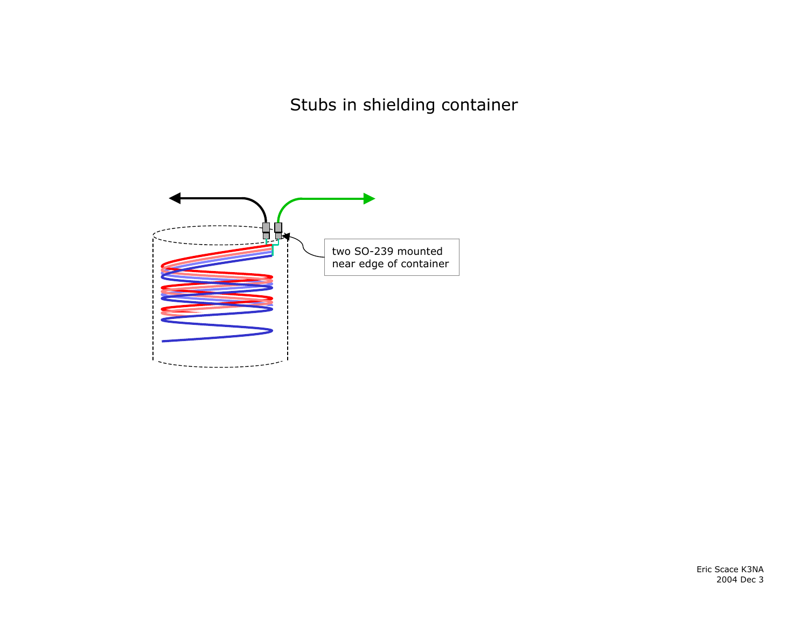Stubs in shielding container

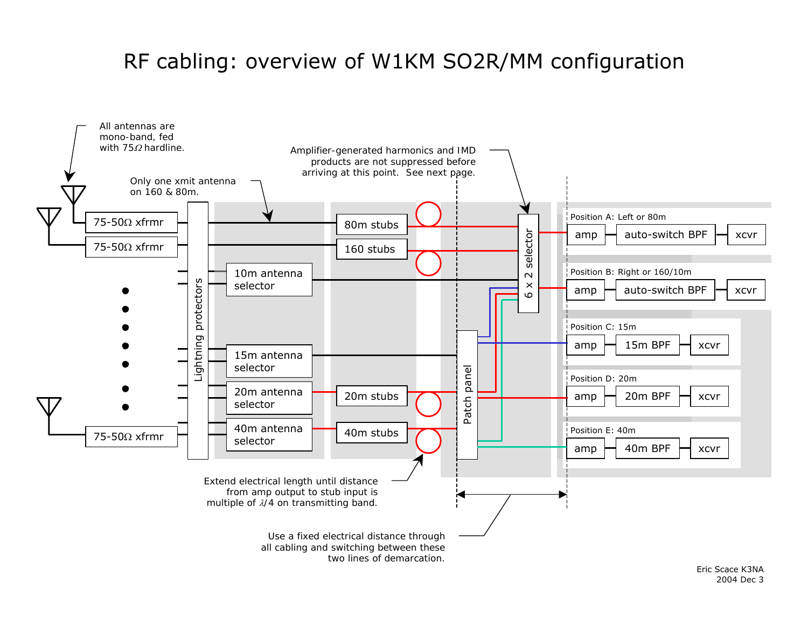# RF cabling: overview of W1KM SO2R/MM configuration

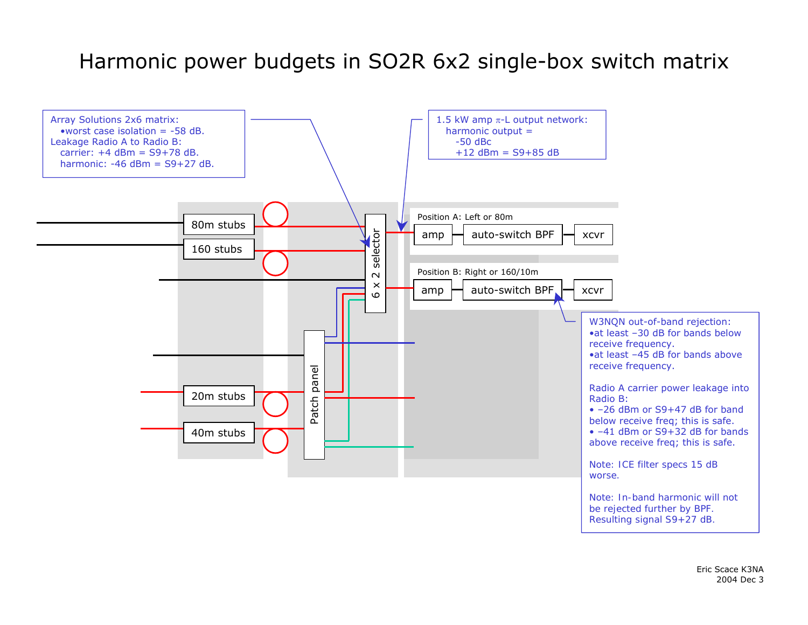# Harmonic power budgets in SO2R 6x2 single-box switch matrix